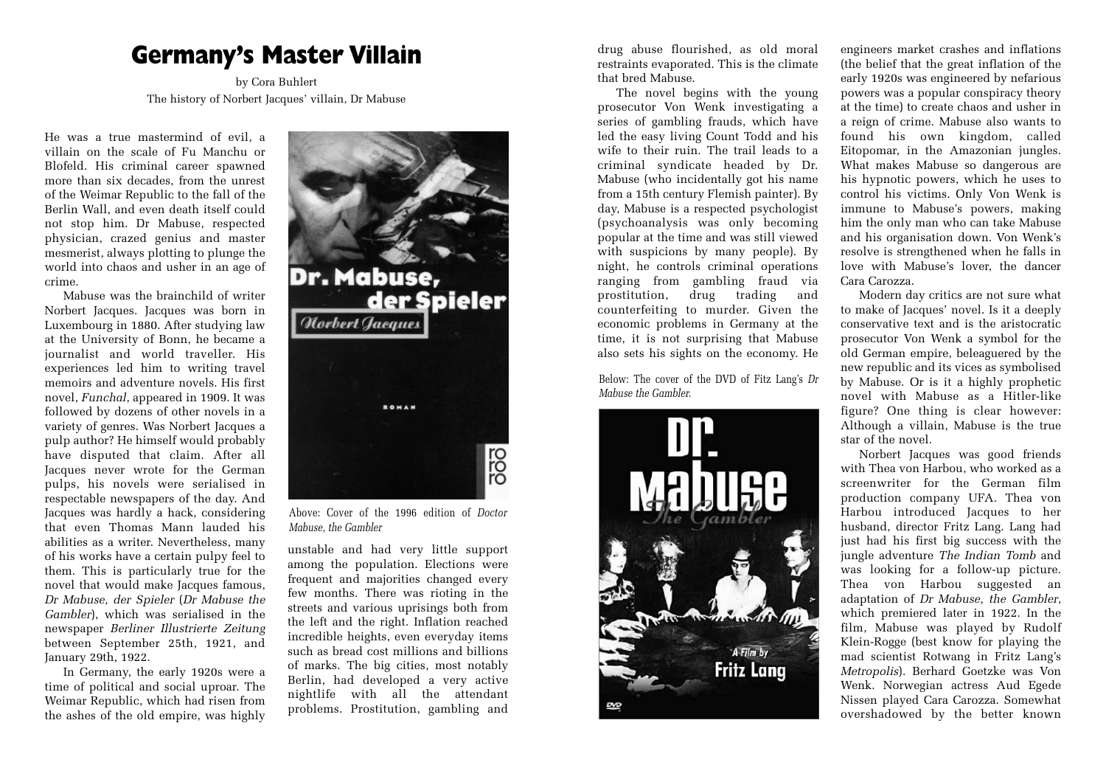## **Germany's Master Villain**

by Cora Buhlert The history of Norbert Jacques' villain, Dr Mabuse

He was a true mastermind of evil, a villain on the scale of Fu Manchu or Blofeld. His criminal career spawned more than six decades, from the unrest of the Weimar Republic to the fall of the Berlin Wall, and even death itself could not stop him. Dr Mabuse, respected physician, crazed genius and master mesmerist, always plotting to plunge the world into chaos and usher in an age of crime.

Mabuse was the brainchild of writer Norbert Jacques. Jacques was born in Luxembourg in 1880. After studying law at the University of Bonn, he became a journalist and world traveller. His experiences led him to writing travel memoirs and adventure novels. His first novel, *Funchal*, appeared in 1909. It was followed by dozens of other novels in a variety of genres. Was Norbert Jacques a pulp author? He himself would probably have disputed that claim. After all Jacques never wrote for the German pulps, his novels were serialised in respectable newspapers of the day. And Jacques was hardly a hack, considering that even Thomas Mann lauded his abilities as a writer. Nevertheless, many of his works have a certain pulpy feel to them. This is particularly true for the novel that would make Jacques famous, *Dr Mabuse, der Spieler* (*Dr Mabuse the Gambler*), which was serialised in the newspaper *Berliner Illustrierte Zeitung* between September 25th, 1921, and January 29th, 1922.

In Germany, the early 1920s were a time of political and social uproar. The Weimar Republic, which had risen from the ashes of the old empire, was highly



Above: Cover of the 1996 edition of *Doctor Mabuse, the Gambler*

unstable and had very little support among the population. Elections were frequent and majorities changed every few months. There was rioting in the streets and various uprisings both from the left and the right. Inflation reached incredible heights, even everyday items such as bread cost millions and billions of marks. The big cities, most notably Berlin, had developed a very active nightlife with all the attendant problems. Prostitution, gambling and

drug abuse flourished, as old moral restraints evaporated. This is the climate that bred Mabuse.

The novel begins with the young prosecutor Von Wenk investigating a series of gambling frauds, which have led the easy living Count Todd and his wife to their ruin. The trail leads to a criminal syndicate headed by Dr. Mabuse (who incidentally got his name from a 15th century Flemish painter). By day, Mabuse is a respected psychologist (psychoanalysis was only becoming popular at the time and was still viewed with suspicions by many people). By night, he controls criminal operations ranging from gambling fraud via prostitution, drug trading and counterfeiting to murder. Given the economic problems in Germany at the time, it is not surprising that Mabuse also sets his sights on the economy. He

Below: The cover of the DVD of Fitz Lang's *Dr Mabuse the Gambler.*



engineers market crashes and inflations (the belief that the great inflation of the early 1920s was engineered by nefarious powers was a popular conspiracy theory at the time) to create chaos and usher in a reign of crime. Mabuse also wants to found his own kingdom, called Eitopomar, in the Amazonian jungles. What makes Mabuse so dangerous are his hypnotic powers, which he uses to control his victims. Only Von Wenk is immune to Mabuse's powers, making him the only man who can take Mabuse and his organisation down. Von Wenk's resolve is strengthened when he falls in love with Mabuse's lover, the dancer Cara Carozza.

Modern day critics are not sure what to make of Jacques' novel. Is it a deeply conservative text and is the aristocratic prosecutor Von Wenk a symbol for the old German empire, beleaguered by the new republic and its vices as symbolised by Mabuse. Or is it a highly prophetic novel with Mabuse as a Hitler-like figure? One thing is clear however: Although a villain, Mabuse is the true star of the novel.

Norbert Jacques was good friends with Thea von Harbou, who worked as a screenwriter for the German film production company UFA. Thea von Harbou introduced Jacques to her husband, director Fritz Lang. Lang had just had his first big success with the jungle adventure *The Indian Tomb* and was looking for a follow-up picture. Thea von Harbou suggested an adaptation of *Dr Mabuse, the Gambler*, which premiered later in 1922. In the film, Mabuse was played by Rudolf Klein-Rogge (best know for playing the mad scientist Rotwang in Fritz Lang's *Metropolis*). Berhard Goetzke was Von Wenk. Norwegian actress Aud Egede Nissen played Cara Carozza. Somewhat overshadowed by the better known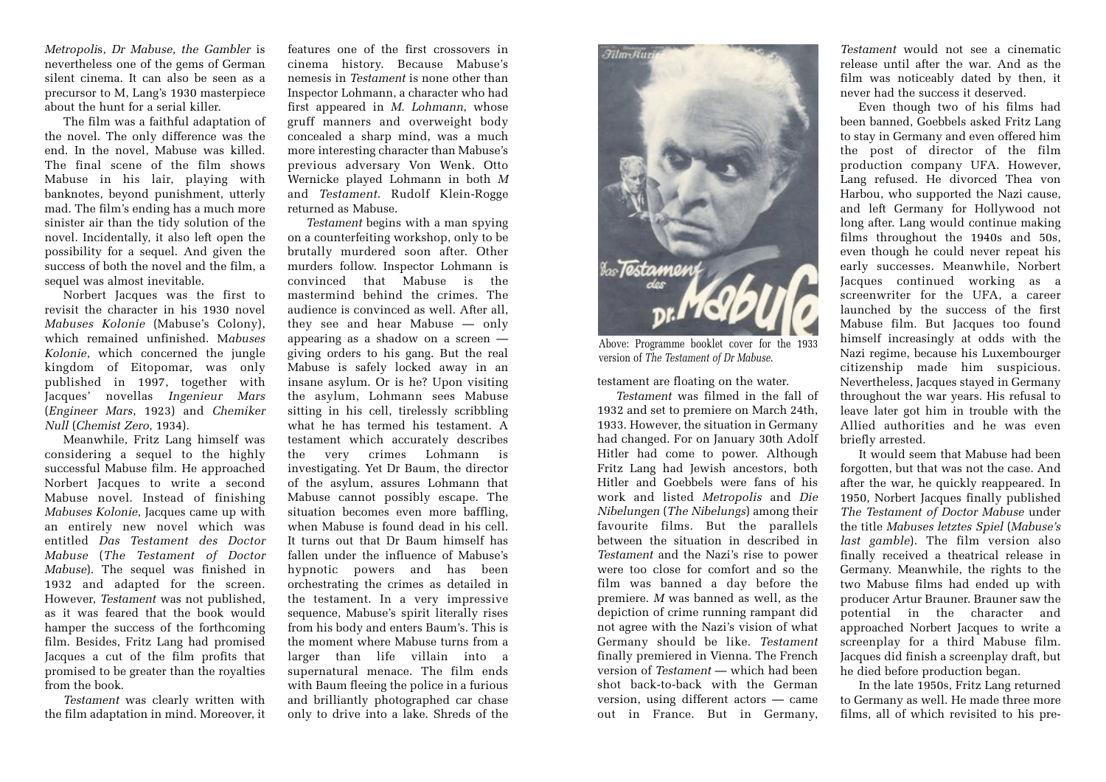*Metropoli*s, *Dr Mabuse, the Gambler* is nevertheless one of the gems of German silent cinema. It can also be seen as a precursor to M, Lang's 1930 masterpiece about the hunt for a serial killer.

The film was a faithful adaptation of the novel. The only difference was the end. In the novel, Mabuse was killed. The final scene of the film shows Mabuse in his lair, playing with banknotes, beyond punishment, utterly mad. The film's ending has a much more sinister air than the tidy solution of the novel. Incidentally, it also left open the possibility for a sequel. And given the success of both the novel and the film, a sequel was almost inevitable.

Norbert Jacques was the first to revisit the character in his 1930 novel *Mabuses Kolonie* (Mabuse's Colony), which remained unfinished. M*abuses Kolonie*, which concerned the jungle kingdom of Eitopomar, was only published in 1997, together with Jacques' novellas *Ingenieur Mars* (*Engineer Mars*, 1923) and *Chemiker Null* (*Chemist Zero*, 1934).

Meanwhile, Fritz Lang himself was considering a sequel to the highly successful Mabuse film. He approached Norbert Jacques to write a second Mabuse novel. Instead of finishing *Mabuses Kolonie*, Jacques came up with an entirely new novel which was entitled *Das Testament des Doctor Mabuse* (*The Testament of Doctor Mabuse*). The sequel was finished in 1932 and adapted for the screen. However, *Testament* was not published, as it was feared that the book would hamper the success of the forthcoming film. Besides, Fritz Lang had promised Jacques a cut of the film profits that promised to be greater than the royalties from the book.

*Testament* was clearly written with the film adaptation in mind. Moreover, it

features one of the first crossovers in cinema history. Because Mabuse's nemesis in *Testament* is none other than Inspector Lohmann, a character who had first appeared in *M. Lohmann*, whose gruff manners and overweight body concealed a sharp mind, was a much more interesting character than Mabuse's previous adversary Von Wenk. Otto Wernicke played Lohmann in both *M* and *Testament*. Rudolf Klein-Rogge returned as Mabuse.

*Testament* begins with a man spying on a counterfeiting workshop, only to be brutally murdered soon after. Other murders follow. Inspector Lohmann is convinced that Mabuse is the mastermind behind the crimes. The audience is convinced as well. After all, they see and hear Mabuse — only appearing as a shadow on a screen giving orders to his gang. But the real Mabuse is safely locked away in an insane asylum. Or is he? Upon visiting the asylum, Lohmann sees Mabuse sitting in his cell, tirelessly scribbling what he has termed his testament. A testament which accurately describes the very crimes Lohmann is investigating. Yet Dr Baum, the director of the asylum, assures Lohmann that Mabuse cannot possibly escape. The situation becomes even more baffling, when Mabuse is found dead in his cell. It turns out that Dr Baum himself has fallen under the influence of Mabuse's hypnotic powers and has been orchestrating the crimes as detailed in the testament. In a very impressive sequence, Mabuse's spirit literally rises from his body and enters Baum's. This is the moment where Mabuse turns from a larger than life villain into a supernatural menace. The film ends with Baum fleeing the police in a furious and brilliantly photographed car chase only to drive into a lake. Shreds of the



Above: Programme booklet cover for the 1933 version of *The Testament of Dr Mabuse*.

testament are floating on the water.

*Testament* was filmed in the fall of 1932 and set to premiere on March 24th, 1933. However, the situation in Germany had changed. For on January 30th Adolf Hitler had come to power. Although Fritz Lang had Jewish ancestors, both Hitler and Goebbels were fans of his work and listed *Metropolis* and *Die Nibelungen* (*The Nibelungs*) among their favourite films. But the parallels between the situation in described in *Testament* and the Nazi's rise to power were too close for comfort and so the film was banned a day before the premiere. *M* was banned as well, as the depiction of crime running rampant did not agree with the Nazi's vision of what Germany should be like. *Testament* finally premiered in Vienna. The French version of *Testament* — which had been shot back-to-back with the German version, using different actors — came out in France. But in Germany,

*Testament* would not see a cinematic release until after the war. And as the film was noticeably dated by then, it never had the success it deserved.

Even though two of his films had been banned, Goebbels asked Fritz Lang to stay in Germany and even offered him the post of director of the film production company UFA. However, Lang refused. He divorced Thea von Harbou, who supported the Nazi cause, and left Germany for Hollywood not long after. Lang would continue making films throughout the 1940s and 50s, even though he could never repeat his early successes. Meanwhile, Norbert Jacques continued working as a screenwriter for the UFA, a career launched by the success of the first Mabuse film. But Jacques too found himself increasingly at odds with the Nazi regime, because his Luxembourger citizenship made him suspicious. Nevertheless, Jacques stayed in Germany throughout the war years. His refusal to leave later got him in trouble with the Allied authorities and he was even briefly arrested.

It would seem that Mabuse had been forgotten, but that was not the case. And after the war, he quickly reappeared. In 1950, Norbert Jacques finally published *The Testament of Doctor Mabuse* under the title *Mabuses letztes Spiel* (*Mabuse's last gamble*). The film version also finally received a theatrical release in Germany. Meanwhile, the rights to the two Mabuse films had ended up with producer Artur Brauner. Brauner saw the potential in the character and approached Norbert Jacques to write a screenplay for a third Mabuse film. Jacques did finish a screenplay draft, but he died before production began.

In the late 1950s, Fritz Lang returned to Germany as well. He made three more films, all of which revisited to his pre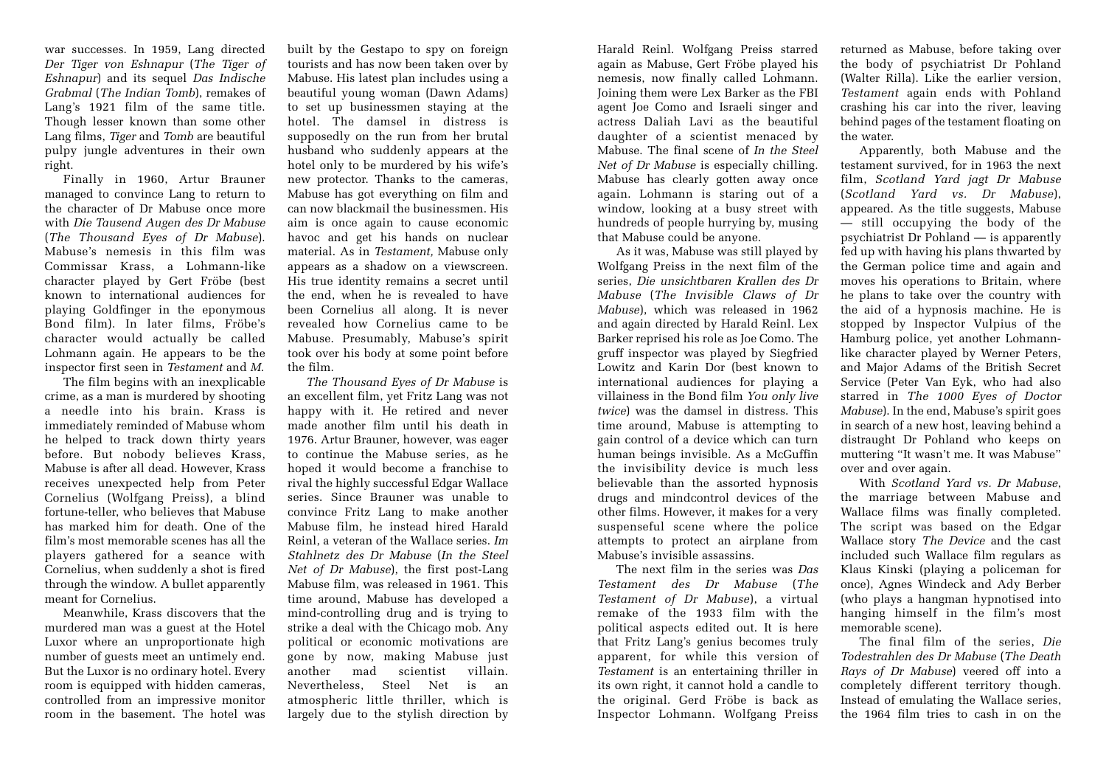war successes. In 1959, Lang directed *Der Tiger von Eshnapur* (*The Tiger of Eshnapur*) and its sequel *Das Indische Grabmal* (*The Indian Tomb*), remakes of Lang's 1921 film of the same title. Though lesser known than some other Lang films, *Tiger* and *Tomb* are beautiful pulpy jungle adventures in their own right.

Finally in 1960, Artur Brauner managed to convince Lang to return to the character of Dr Mabuse once more with *Die Tausend Augen des Dr Mabuse* (*The Thousand Eyes of Dr Mabuse*). Mabuse's nemesis in this film was Commissar Krass, a Lohmann-like character played by Gert Fröbe (best known to international audiences for playing Goldfinger in the eponymous Bond film). In later films, Fröbe's character would actually be called Lohmann again. He appears to be the inspector first seen in *Testament* and *M*.

The film begins with an inexplicable crime, as a man is murdered by shooting a needle into his brain. Krass is immediately reminded of Mabuse whom he helped to track down thirty years before. But nobody believes Krass, Mabuse is after all dead. However, Krass receives unexpected help from Peter Cornelius (Wolfgang Preiss), a blind fortune-teller, who believes that Mabuse has marked him for death. One of the film's most memorable scenes has all the players gathered for a seance with Cornelius, when suddenly a shot is fired through the window. A bullet apparently meant for Cornelius.

Meanwhile, Krass discovers that the murdered man was a guest at the Hotel Luxor where an unproportionate high number of guests meet an untimely end. But the Luxor is no ordinary hotel. Every room is equipped with hidden cameras, controlled from an impressive monitor room in the basement. The hotel was

built by the Gestapo to spy on foreign tourists and has now been taken over by Mabuse. His latest plan includes using a beautiful young woman (Dawn Adams) to set up businessmen staying at the hotel. The damsel in distress is supposedly on the run from her brutal husband who suddenly appears at the hotel only to be murdered by his wife's new protector. Thanks to the cameras, Mabuse has got everything on film and can now blackmail the businessmen. His aim is once again to cause economic havoc and get his hands on nuclear material. As in *Testament,* Mabuse only appears as a shadow on a viewscreen. His true identity remains a secret until the end, when he is revealed to have been Cornelius all along. It is never revealed how Cornelius came to be Mabuse. Presumably, Mabuse's spirit took over his body at some point before the film.

*The Thousand Eyes of Dr Mabuse* is an excellent film, yet Fritz Lang was not happy with it. He retired and never made another film until his death in 1976. Artur Brauner, however, was eager to continue the Mabuse series, as he hoped it would become a franchise to rival the highly successful Edgar Wallace series. Since Brauner was unable to convince Fritz Lang to make another Mabuse film, he instead hired Harald Reinl, a veteran of the Wallace series. *Im Stahlnetz des Dr Mabuse* (*In the Steel Net of Dr Mabuse*), the first post-Lang Mabuse film, was released in 1961. This time around, Mabuse has developed a mind-controlling drug and is trying to strike a deal with the Chicago mob. Any political or economic motivations are gone by now, making Mabuse just another mad scientist villain. Nevertheless, Steel Net is an atmospheric little thriller, which is largely due to the stylish direction by

Harald Reinl. Wolfgang Preiss starred again as Mabuse, Gert Fröbe played his nemesis, now finally called Lohmann. Joining them were Lex Barker as the FBI agent Joe Como and Israeli singer and actress Daliah Lavi as the beautiful daughter of a scientist menaced by Mabuse. The final scene of *In the Steel Net of Dr Mabuse* is especially chilling. Mabuse has clearly gotten away once again. Lohmann is staring out of a window, looking at a busy street with hundreds of people hurrying by, musing that Mabuse could be anyone.

As it was, Mabuse was still played by Wolfgang Preiss in the next film of the series, *Die unsichtbaren Krallen des Dr Mabuse* (*The Invisible Claws of Dr Mabuse*), which was released in 1962 and again directed by Harald Reinl. Lex Barker reprised his role as Joe Como. The gruff inspector was played by Siegfried Lowitz and Karin Dor (best known to international audiences for playing a villainess in the Bond film *You only live twice*) was the damsel in distress. This time around, Mabuse is attempting to gain control of a device which can turn human beings invisible. As a McGuffin the invisibility device is much less believable than the assorted hypnosis drugs and mindcontrol devices of the other films. However, it makes for a very suspenseful scene where the police attempts to protect an airplane from Mabuse's invisible assassins.

The next film in the series was *Das Testament des Dr Mabuse* (*The Testament of Dr Mabuse*), a virtual remake of the 1933 film with the political aspects edited out. It is here that Fritz Lang's genius becomes truly apparent, for while this version of *Testament* is an entertaining thriller in its own right, it cannot hold a candle to the original. Gerd Fröbe is back as Inspector Lohmann. Wolfgang Preiss

returned as Mabuse, before taking over the body of psychiatrist Dr Pohland (Walter Rilla). Like the earlier version, *Testament* again ends with Pohland crashing his car into the river, leaving behind pages of the testament floating on the water.

Apparently, both Mabuse and the testament survived, for in 1963 the next film, *Scotland Yard jagt Dr Mabuse* (*Scotland Yard vs. Dr Mabuse*), appeared. As the title suggests, Mabuse — still occupying the body of the psychiatrist Dr Pohland — is apparently fed up with having his plans thwarted by the German police time and again and moves his operations to Britain, where he plans to take over the country with the aid of a hypnosis machine. He is stopped by Inspector Vulpius of the Hamburg police, yet another Lohmannlike character played by Werner Peters, and Major Adams of the British Secret Service (Peter Van Eyk, who had also starred in *The 1000 Eyes of Doctor Mabuse*). In the end, Mabuse's spirit goes in search of a new host, leaving behind a distraught Dr Pohland who keeps on muttering "It wasn't me. It was Mabuse" over and over again.

With *Scotland Yard vs. Dr Mabuse*, the marriage between Mabuse and Wallace films was finally completed. The script was based on the Edgar Wallace story *The Device* and the cast included such Wallace film regulars as Klaus Kinski (playing a policeman for once), Agnes Windeck and Ady Berber (who plays a hangman hypnotised into hanging himself in the film's most memorable scene).

The final film of the series, *Die Todestrahlen des Dr Mabuse* (*The Death Rays of Dr Mabuse*) veered off into a completely different territory though. Instead of emulating the Wallace series, the 1964 film tries to cash in on the